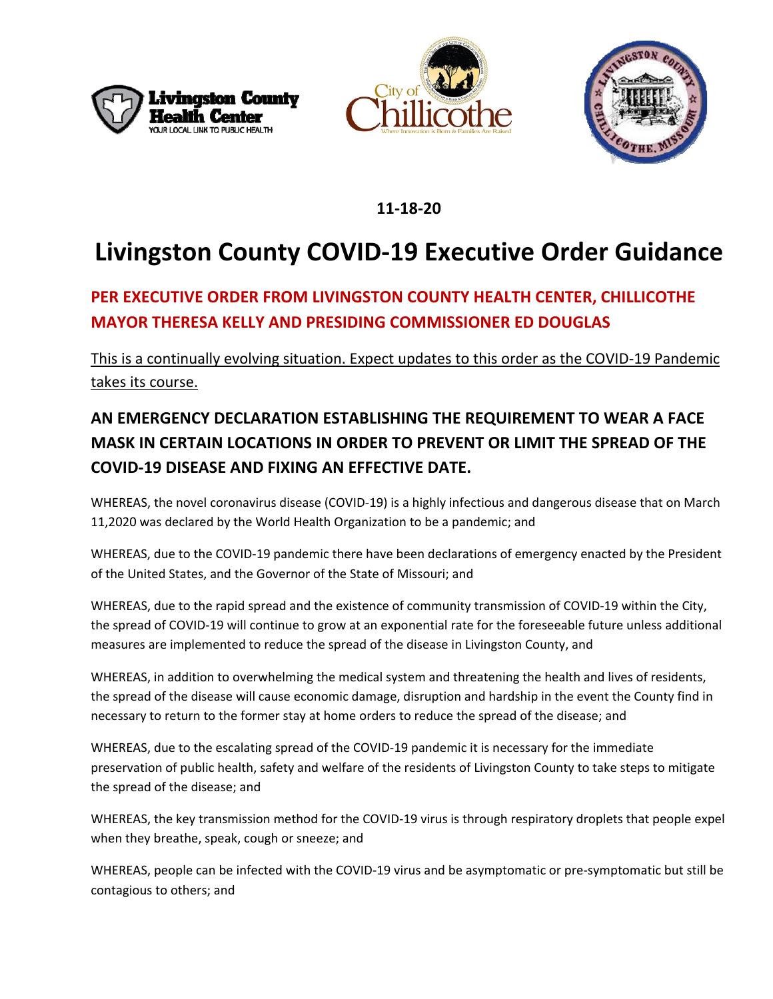





### **11-18-20**

# **Livingston County COVID-19 Executive Order Guidance**

## **PER EXECUTIVE ORDER FROM LIVINGSTON COUNTY HEALTH CENTER, CHILLICOTHE MAYOR THERESA KELLY AND PRESIDING COMMISSIONER ED DOUGLAS**

This is a continually evolving situation. Expect updates to this order as the COVID-19 Pandemic takes its course.

# **AN EMERGENCY DECLARATION ESTABLISHING THE REQUIREMENT TO WEAR A FACE MASK IN CERTAIN LOCATIONS IN ORDER TO PREVENT OR LIMIT THE SPREAD OF THE COVID-19 DISEASE AND FIXING AN EFFECTIVE DATE.**

WHEREAS, the novel coronavirus disease (COVID-19) is a highly infectious and dangerous disease that on March 11,2020 was declared by the World Health Organization to be a pandemic; and

WHEREAS, due to the COVID-19 pandemic there have been declarations of emergency enacted by the President of the United States, and the Governor of the State of Missouri; and

WHEREAS, due to the rapid spread and the existence of community transmission of COVID-19 within the City, the spread of COVID-19 will continue to grow at an exponential rate for the foreseeable future unless additional measures are implemented to reduce the spread of the disease in Livingston County, and

WHEREAS, in addition to overwhelming the medical system and threatening the health and lives of residents, the spread of the disease will cause economic damage, disruption and hardship in the event the County find in necessary to return to the former stay at home orders to reduce the spread of the disease; and

WHEREAS, due to the escalating spread of the COVID-19 pandemic it is necessary for the immediate preservation of public health, safety and welfare of the residents of Livingston County to take steps to mitigate the spread of the disease; and

WHEREAS, the key transmission method for the COVID-19 virus is through respiratory droplets that people expel when they breathe, speak, cough or sneeze; and

WHEREAS, people can be infected with the COVID-19 virus and be asymptomatic or pre-symptomatic but still be contagious to others; and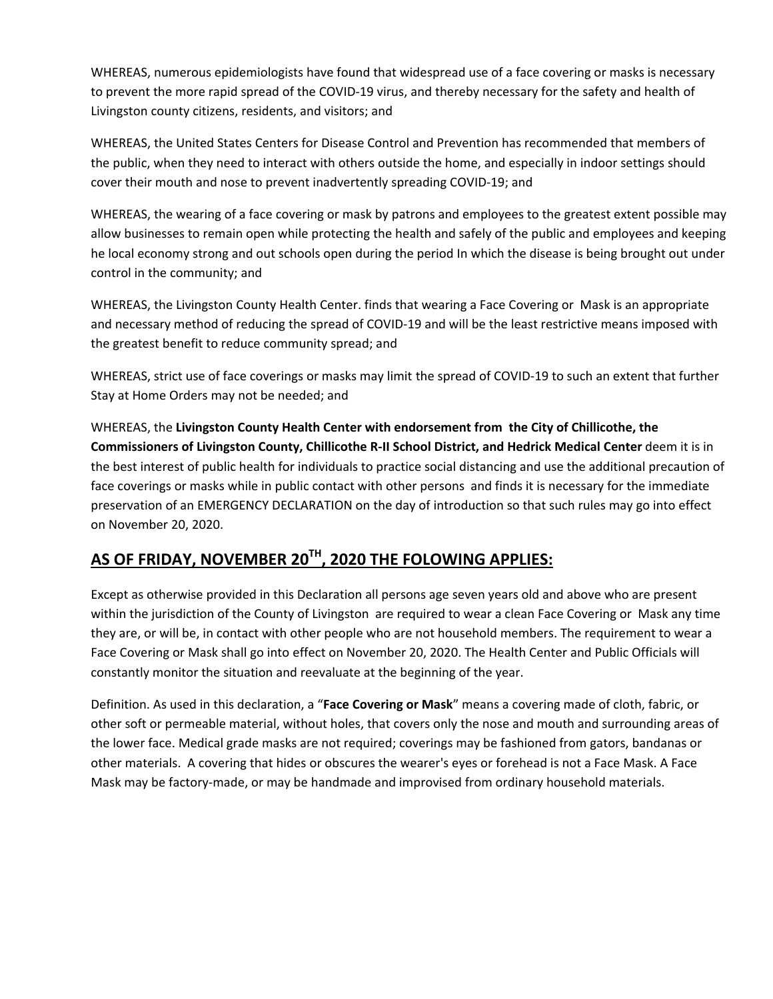WHEREAS, numerous epidemiologists have found that widespread use of a face covering or masks is necessary to prevent the more rapid spread of the COVID-19 virus, and thereby necessary for the safety and health of Livingston county citizens, residents, and visitors; and

WHEREAS, the United States Centers for Disease Control and Prevention has recommended that members of the public, when they need to interact with others outside the home, and especially in indoor settings should cover their mouth and nose to prevent inadvertently spreading COVID-19; and

WHEREAS, the wearing of a face covering or mask by patrons and employees to the greatest extent possible may allow businesses to remain open while protecting the health and safely of the public and employees and keeping he local economy strong and out schools open during the period In which the disease is being brought out under control in the community; and

WHEREAS, the Livingston County Health Center. finds that wearing a Face Covering or Mask is an appropriate and necessary method of reducing the spread of COVID-19 and will be the least restrictive means imposed with the greatest benefit to reduce community spread; and

WHEREAS, strict use of face coverings or masks may limit the spread of COVID-19 to such an extent that further Stay at Home Orders may not be needed; and

WHEREAS, the **Livingston County Health Center with endorsement from the City of Chillicothe, the Commissioners of Livingston County, Chillicothe R-II School District, and Hedrick Medical Center** deem it is in the best interest of public health for individuals to practice social distancing and use the additional precaution of face coverings or masks while in public contact with other persons and finds it is necessary for the immediate preservation of an EMERGENCY DECLARATION on the day of introduction so that such rules may go into effect on November 20, 2020.

#### **AS OF FRIDAY, NOVEMBER 20TH, 2020 THE FOLOWING APPLIES:**

Except as otherwise provided in this Declaration all persons age seven years old and above who are present within the jurisdiction of the County of Livingston are required to wear a clean Face Covering or Mask any time they are, or will be, in contact with other people who are not household members. The requirement to wear a Face Covering or Mask shall go into effect on November 20, 2020. The Health Center and Public Officials will constantly monitor the situation and reevaluate at the beginning of the year.

Definition. As used in this declaration, a "**Face Covering or Mask**" means a covering made of cloth, fabric, or other soft or permeable material, without holes, that covers only the nose and mouth and surrounding areas of the lower face. Medical grade masks are not required; coverings may be fashioned from gators, bandanas or other materials. A covering that hides or obscures the wearer's eyes or forehead is not a Face Mask. A Face Mask may be factory-made, or may be handmade and improvised from ordinary household materials.